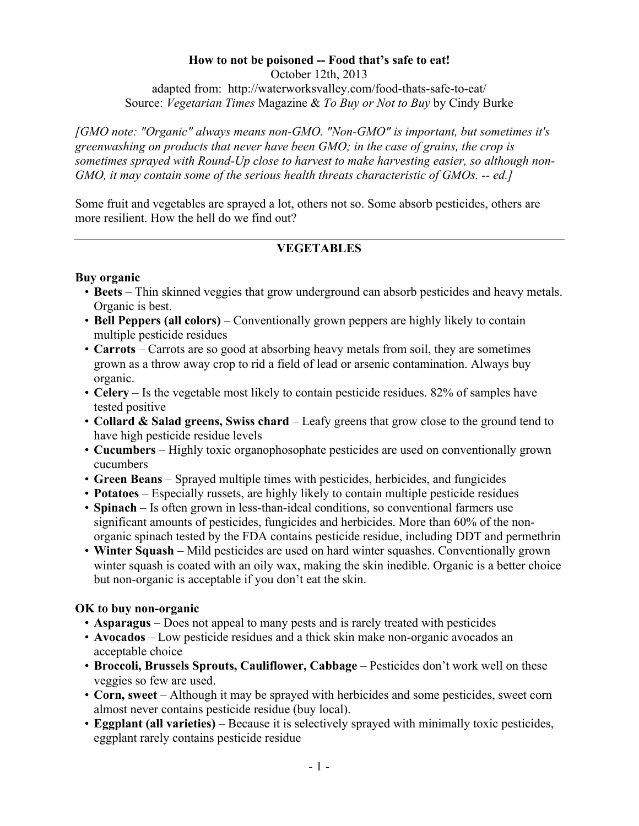## **How to not be poisoned -- Food that's safe to eat!**

October 12th, 2013 adapted from: http://waterworksvalley.com/food-thats-safe-to-eat/ Source: *Vegetarian Times* Magazine & *To Buy or Not to Buy* by Cindy Burke

*[GMO note: "Organic" always means non-GMO. "Non-GMO" is important, but sometimes it's greenwashing on products that never have been GMO; in the case of grains, the crop is sometimes sprayed with Round-Up close to harvest to make harvesting easier, so although non-GMO, it may contain some of the serious health threats characteristic of GMOs. -- ed.]*

Some fruit and vegetables are sprayed a lot, others not so. Some absorb pesticides, others are more resilient. How the hell do we find out?

# **VEGETABLES**

## **Buy organic**

- **Beets** Thin skinned veggies that grow underground can absorb pesticides and heavy metals. Organic is best.
- **Bell Peppers (all colors)** Conventionally grown peppers are highly likely to contain multiple pesticide residues
- **Carrots** Carrots are so good at absorbing heavy metals from soil, they are sometimes grown as a throw away crop to rid a field of lead or arsenic contamination. Always buy organic.
- **Celery** Is the vegetable most likely to contain pesticide residues. 82% of samples have tested positive
- **Collard & Salad greens, Swiss chard** Leafy greens that grow close to the ground tend to have high pesticide residue levels
- **Cucumbers** Highly toxic organophosophate pesticides are used on conventionally grown cucumbers
- **Green Beans** Sprayed multiple times with pesticides, herbicides, and fungicides
- **Potatoes** Especially russets, are highly likely to contain multiple pesticide residues
- **Spinach** Is often grown in less-than-ideal conditions, so conventional farmers use significant amounts of pesticides, fungicides and herbicides. More than 60% of the nonorganic spinach tested by the FDA contains pesticide residue, including DDT and permethrin
- **Winter Squash** Mild pesticides are used on hard winter squashes. Conventionally grown winter squash is coated with an oily wax, making the skin inedible. Organic is a better choice but non-organic is acceptable if you don't eat the skin.

# **OK to buy non-organic**

- **Asparagus** Does not appeal to many pests and is rarely treated with pesticides
- **Avocados** Low pesticide residues and a thick skin make non-organic avocados an acceptable choice
- **Broccoli, Brussels Sprouts, Cauliflower, Cabbage** Pesticides don't work well on these veggies so few are used.
- **Corn, sweet** Although it may be sprayed with herbicides and some pesticides, sweet corn almost never contains pesticide residue (buy local).
- **Eggplant (all varieties)** Because it is selectively sprayed with minimally toxic pesticides, eggplant rarely contains pesticide residue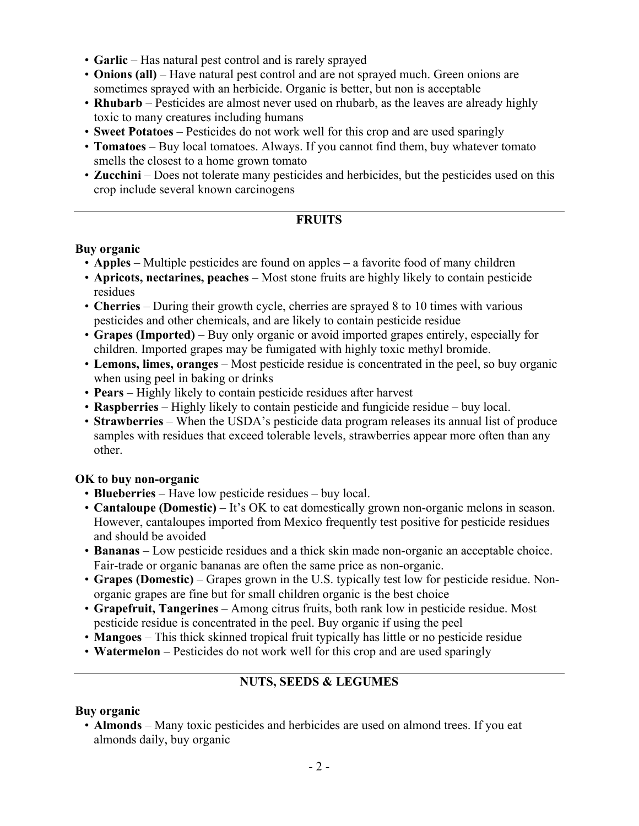- **Garlic** Has natural pest control and is rarely sprayed
- **Onions (all)** Have natural pest control and are not sprayed much. Green onions are sometimes sprayed with an herbicide. Organic is better, but non is acceptable
- **Rhubarb** Pesticides are almost never used on rhubarb, as the leaves are already highly toxic to many creatures including humans
- **Sweet Potatoes** Pesticides do not work well for this crop and are used sparingly
- **Tomatoes** Buy local tomatoes. Always. If you cannot find them, buy whatever tomato smells the closest to a home grown tomato
- **Zucchini** Does not tolerate many pesticides and herbicides, but the pesticides used on this crop include several known carcinogens

### **FRUITS**

#### **Buy organic**

- **Apples** Multiple pesticides are found on apples a favorite food of many children
- **Apricots, nectarines, peaches** Most stone fruits are highly likely to contain pesticide residues
- **Cherries** During their growth cycle, cherries are sprayed 8 to 10 times with various pesticides and other chemicals, and are likely to contain pesticide residue
- **Grapes (Imported)** Buy only organic or avoid imported grapes entirely, especially for children. Imported grapes may be fumigated with highly toxic methyl bromide.
- **Lemons, limes, oranges** Most pesticide residue is concentrated in the peel, so buy organic when using peel in baking or drinks
- **Pears** Highly likely to contain pesticide residues after harvest
- **Raspberries** Highly likely to contain pesticide and fungicide residue buy local.
- **Strawberries** When the USDA's pesticide data program releases its annual list of produce samples with residues that exceed tolerable levels, strawberries appear more often than any other.

### **OK to buy non-organic**

- **Blueberries** Have low pesticide residues buy local.
- **Cantaloupe (Domestic)** It's OK to eat domestically grown non-organic melons in season. However, cantaloupes imported from Mexico frequently test positive for pesticide residues and should be avoided
- **Bananas** Low pesticide residues and a thick skin made non-organic an acceptable choice. Fair-trade or organic bananas are often the same price as non-organic.
- **Grapes (Domestic)** Grapes grown in the U.S. typically test low for pesticide residue. Nonorganic grapes are fine but for small children organic is the best choice
- **Grapefruit, Tangerines** Among citrus fruits, both rank low in pesticide residue. Most pesticide residue is concentrated in the peel. Buy organic if using the peel
- **Mangoes** This thick skinned tropical fruit typically has little or no pesticide residue
- **Watermelon** Pesticides do not work well for this crop and are used sparingly

# **NUTS, SEEDS & LEGUMES**

### **Buy organic**

• **Almonds** – Many toxic pesticides and herbicides are used on almond trees. If you eat almonds daily, buy organic